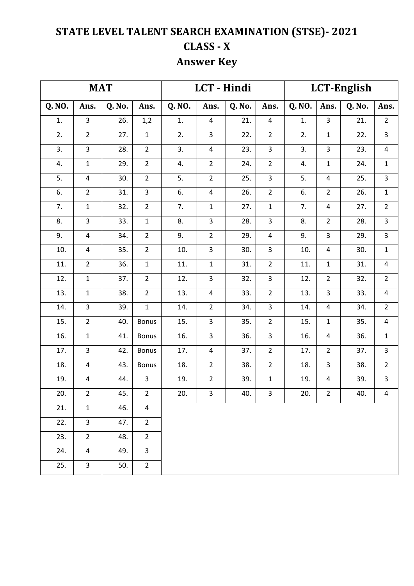#### **STATE LEVEL TALENT SEARCH EXAMINATION (STSE)- 2021 CLASS - X Answer Key**

|        | <b>MAT</b>              |        |                         |        | <b>LCT</b> - Hindi      |        |                         | <b>LCT-English</b> |                |        |                         |
|--------|-------------------------|--------|-------------------------|--------|-------------------------|--------|-------------------------|--------------------|----------------|--------|-------------------------|
| Q. NO. | Ans.                    | Q. No. | Ans.                    | Q. NO. | Ans.                    | Q. No. | Ans.                    | Q. NO.             | Ans.           | Q. No. | Ans.                    |
| 1.     | 3                       | 26.    | 1,2                     | 1.     | $\pmb{4}$               | 21.    | 4                       | 1.                 | 3              | 21.    | $\overline{2}$          |
| 2.     | $\overline{2}$          | 27.    | $\mathbf{1}$            | 2.     | 3                       | 22.    | $\overline{2}$          | 2.                 | $\mathbf{1}$   | 22.    | 3                       |
| 3.     | $\overline{\mathbf{3}}$ | 28.    | $\overline{2}$          | 3.     | 4                       | 23.    | 3                       | 3.                 | 3              | 23.    | $\overline{\mathbf{4}}$ |
| 4.     | $\mathbf 1$             | 29.    | $\overline{2}$          | 4.     | $\overline{2}$          | 24.    | $\overline{2}$          | 4.                 | $\mathbf 1$    | 24.    | $\mathbf 1$             |
| 5.     | 4                       | 30.    | $\overline{2}$          | 5.     | $\overline{2}$          | 25.    | 3                       | 5.                 | 4              | 25.    | 3                       |
| 6.     | $\overline{2}$          | 31.    | 3                       | 6.     | $\overline{4}$          | 26.    | $\overline{2}$          | 6.                 | $\overline{2}$ | 26.    | $\mathbf 1$             |
| 7.     | $\mathbf 1$             | 32.    | $\overline{2}$          | 7.     | $\mathbf{1}$            | 27.    | $\mathbf{1}$            | 7.                 | 4              | 27.    | $\overline{2}$          |
| 8.     | $\mathsf{3}$            | 33.    | $\mathbf{1}$            | 8.     | 3                       | 28.    | 3                       | 8.                 | $\overline{2}$ | 28.    | 3                       |
| 9.     | $\overline{\mathbf{4}}$ | 34.    | $\overline{2}$          | 9.     | $\overline{2}$          | 29.    | $\overline{\mathbf{4}}$ | 9.                 | 3              | 29.    | 3                       |
| 10.    | $\pmb{4}$               | 35.    | $\overline{2}$          | 10.    | 3                       | 30.    | 3                       | 10.                | 4              | 30.    | $\mathbf 1$             |
| 11.    | $\overline{2}$          | 36.    | $\mathbf{1}$            | 11.    | $\mathbf{1}$            | 31.    | $\overline{2}$          | 11.                | $\mathbf 1$    | 31.    | $\pmb{4}$               |
| 12.    | $\mathbf 1$             | 37.    | $\overline{2}$          | 12.    | $\overline{3}$          | 32.    | 3                       | 12.                | $\overline{2}$ | 32.    | $\overline{2}$          |
| 13.    | $\mathbf{1}$            | 38.    | $\overline{2}$          | 13.    | $\overline{4}$          | 33.    | $\overline{2}$          | 13.                | 3              | 33.    | $\pmb{4}$               |
| 14.    | 3                       | 39.    | $\mathbf{1}$            | 14.    | $\overline{2}$          | 34.    | 3                       | 14.                | 4              | 34.    | $\overline{2}$          |
| 15.    | $\overline{2}$          | 40.    | <b>Bonus</b>            | 15.    | 3                       | 35.    | $\overline{2}$          | 15.                | $\mathbf{1}$   | 35.    | $\pmb{4}$               |
| 16.    | $\mathbf 1$             | 41.    | <b>Bonus</b>            | 16.    | 3                       | 36.    | 3                       | 16.                | 4              | 36.    | $\mathbf 1$             |
| 17.    | 3                       | 42.    | <b>Bonus</b>            | 17.    | $\overline{\mathbf{4}}$ | 37.    | $\overline{2}$          | 17.                | $\overline{2}$ | 37.    | 3                       |
| 18.    | 4                       | 43.    | <b>Bonus</b>            | 18.    | $\overline{2}$          | 38.    | $\overline{2}$          | 18.                | 3              | 38.    | $\overline{2}$          |
| 19.    | 4                       | 44.    | 3                       | 19.    | $\overline{2}$          | 39.    | $\mathbf 1$             | 19.                | 4              | 39.    | $\mathbf{3}$            |
| 20.    | $\overline{2}$          | 45.    | $\overline{2}$          | 20.    | $\mathsf{3}$            | 40.    | 3                       | 20.                | $\overline{2}$ | 40.    | 4                       |
| 21.    | $\mathbf{1}$            | 46.    | $\overline{\mathbf{4}}$ |        |                         |        |                         |                    |                |        |                         |
| 22.    | $\mathbf{3}$            | 47.    | $\overline{2}$          |        |                         |        |                         |                    |                |        |                         |
| 23.    | $\overline{2}$          | 48.    | $\overline{2}$          |        |                         |        |                         |                    |                |        |                         |
| 24.    | $\overline{a}$          | 49.    | 3                       |        |                         |        |                         |                    |                |        |                         |
| 25.    | $\mathbf{3}$            | 50.    | $\overline{2}$          |        |                         |        |                         |                    |                |        |                         |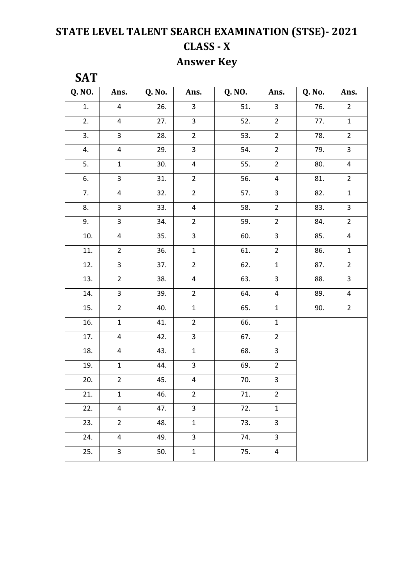# **STATE LEVEL TALENT SEARCH EXAMINATION (STSE)- 2021 CLASS - X**

**Answer Key**

| <b>SAT</b> |                         |        |                         |        |                         |               |                         |
|------------|-------------------------|--------|-------------------------|--------|-------------------------|---------------|-------------------------|
| Q. NO.     | Ans.                    | Q. No. | Ans.                    | Q. NO. | Ans.                    | <b>Q. No.</b> | Ans.                    |
| 1.         | $\overline{\mathbf{4}}$ | 26.    | $\overline{\mathbf{3}}$ | 51.    | 3                       | 76.           | $\overline{2}$          |
| 2.         | $\overline{\mathbf{4}}$ | 27.    | $\mathsf{3}$            | 52.    | $\overline{2}$          | 77.           | $\mathbf{1}$            |
| 3.         | 3                       | 28.    | $\overline{2}$          | 53.    | $\overline{2}$          | 78.           | $\overline{2}$          |
| 4.         | $\overline{\mathbf{4}}$ | 29.    | 3                       | 54.    | $\overline{2}$          | 79.           | 3                       |
| 5.         | $\mathbf{1}$            | 30.    | $\overline{\mathbf{4}}$ | 55.    | $\overline{2}$          | 80.           | $\pmb{4}$               |
| 6.         | 3                       | 31.    | $\overline{2}$          | 56.    | $\overline{\mathbf{4}}$ | 81.           | $\overline{2}$          |
| 7.         | $\overline{\mathbf{4}}$ | 32.    | $\overline{2}$          | 57.    | 3                       | 82.           | $\mathbf{1}$            |
| 8.         | 3                       | 33.    | $\overline{\mathbf{4}}$ | 58.    | $\overline{2}$          | 83.           | 3                       |
| 9.         | 3                       | 34.    | $\overline{2}$          | 59.    | $\overline{2}$          | 84.           | $\overline{2}$          |
| 10.        | $\overline{\mathbf{4}}$ | 35.    | 3                       | 60.    | 3                       | 85.           | $\overline{\mathbf{4}}$ |
| 11.        | $\overline{2}$          | 36.    | $\mathbf{1}$            | 61.    | $\overline{2}$          | 86.           | $\mathbf 1$             |
| 12.        | 3                       | 37.    | $\overline{2}$          | 62.    | $\mathbf 1$             | 87.           | $\overline{2}$          |
| 13.        | $\overline{2}$          | 38.    | $\overline{\mathbf{4}}$ | 63.    | 3                       | 88.           | 3                       |
| 14.        | 3                       | 39.    | $\overline{2}$          | 64.    | $\pmb{4}$               | 89.           | $\pmb{4}$               |
| 15.        | $\overline{2}$          | 40.    | $\mathbf{1}$            | 65.    | $\mathbf 1$             | 90.           | $\overline{2}$          |
| 16.        | $\mathbf 1$             | 41.    | $\overline{2}$          | 66.    | $\mathbf 1$             |               |                         |
| 17.        | 4                       | 42.    | 3                       | 67.    | $\overline{2}$          |               |                         |
| 18.        | 4                       | 43.    | $\mathbf 1$             | 68.    | 3                       |               |                         |
| 19.        | $\mathbf{1}$            | 44.    | 3                       | 69.    | $\overline{2}$          |               |                         |
| 20.        | $\overline{2}$          | 45.    | 4                       | 70.    | 3                       |               |                         |
| 21.        | $\mathbf 1$             | 46.    | $\overline{2}$          | 71.    | $\overline{2}$          |               |                         |
| 22.        | $\overline{4}$          | 47.    | 3                       | 72.    | $1\,$                   |               |                         |
| 23.        | $\overline{2}$          | 48.    | $\mathbf{1}$            | 73.    | $\mathsf{3}$            |               |                         |
| 24.        | $\overline{4}$          | 49.    | 3                       | 74.    | 3                       |               |                         |
| 25.        | 3                       | 50.    | $\mathbf{1}$            | 75.    | $\overline{\mathbf{4}}$ |               |                         |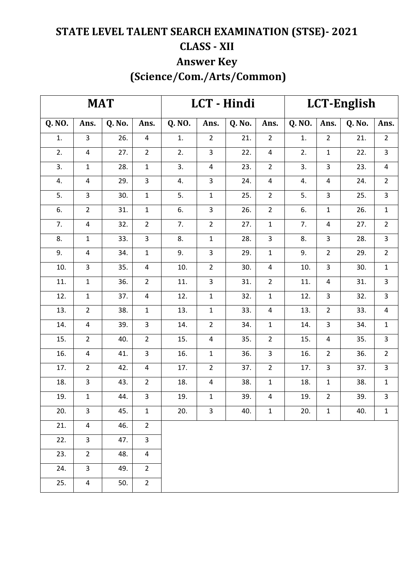## **STATE LEVEL TALENT SEARCH EXAMINATION (STSE)- 2021 CLASS - XII**

#### **Answer Key**

#### **(Science/Com./Arts/Common)**

|        | <b>MAT</b>              |        |                         |        | LCT - Hindi<br><b>LCT-English</b> |        |                         |        |                |        |                |  |
|--------|-------------------------|--------|-------------------------|--------|-----------------------------------|--------|-------------------------|--------|----------------|--------|----------------|--|
| Q. NO. | Ans.                    | Q. No. | Ans.                    | Q. NO. | Ans.                              | Q. No. | Ans.                    | Q. NO. | Ans.           | Q. No. | Ans.           |  |
| 1.     | 3                       | 26.    | $\overline{4}$          | 1.     | $\overline{2}$                    | 21.    | $\overline{2}$          | 1.     | $\overline{2}$ | 21.    | $\overline{2}$ |  |
| 2.     | $\pmb{4}$               | 27.    | $\overline{2}$          | 2.     | $\overline{3}$                    | 22.    | $\overline{\mathbf{4}}$ | 2.     | $\mathbf{1}$   | 22.    | 3              |  |
| 3.     | $\mathbf{1}$            | 28.    | $\mathbf{1}$            | 3.     | $\overline{4}$                    | 23.    | $\overline{2}$          | 3.     | $\overline{3}$ | 23.    | 4              |  |
| 4.     | 4                       | 29.    | 3                       | 4.     | $\overline{3}$                    | 24.    | $\pmb{4}$               | 4.     | 4              | 24.    | $\overline{2}$ |  |
| 5.     | 3                       | 30.    | $\mathbf{1}$            | 5.     | $\mathbf{1}$                      | 25.    | $\overline{2}$          | 5.     | 3              | 25.    | 3              |  |
| 6.     | $\overline{2}$          | 31.    | $\mathbf{1}$            | 6.     | 3                                 | 26.    | $\overline{2}$          | 6.     | $\mathbf{1}$   | 26.    | $\mathbf 1$    |  |
| 7.     | $\pmb{4}$               | 32.    | $\overline{2}$          | 7.     | $\overline{2}$                    | 27.    | $\mathbf 1$             | 7.     | 4              | 27.    | $\overline{2}$ |  |
| 8.     | $\mathbf{1}$            | 33.    | 3                       | 8.     | $\mathbf 1$                       | 28.    | 3                       | 8.     | 3              | 28.    | 3              |  |
| 9.     | 4                       | 34.    | $\mathbf{1}$            | 9.     | 3                                 | 29.    | 1                       | 9.     | $\overline{2}$ | 29.    | $\overline{2}$ |  |
| 10.    | 3                       | 35.    | $\pmb{4}$               | 10.    | $\overline{2}$                    | 30.    | $\overline{\mathbf{4}}$ | 10.    | 3              | 30.    | $\mathbf 1$    |  |
| 11.    | $\mathbf{1}$            | 36.    | $\overline{2}$          | 11.    | $\overline{3}$                    | 31.    | $\overline{2}$          | 11.    | 4              | 31.    | 3              |  |
| 12.    | $\mathbf{1}$            | 37.    | $\sqrt{4}$              | 12.    | $\mathbf 1$                       | 32.    | $\mathbf{1}$            | 12.    | 3              | 32.    | 3              |  |
| 13.    | $\overline{2}$          | 38.    | $\mathbf{1}$            | 13.    | $\mathbf 1$                       | 33.    | $\overline{\mathbf{4}}$ | 13.    | $\overline{2}$ | 33.    | 4              |  |
| 14.    | $\pmb{4}$               | 39.    | 3                       | 14.    | $\overline{2}$                    | 34.    | $\mathbf{1}$            | 14.    | 3              | 34.    | $\mathbf{1}$   |  |
| 15.    | $\overline{2}$          | 40.    | $\overline{2}$          | 15.    | $\overline{4}$                    | 35.    | $\overline{2}$          | 15.    | 4              | 35.    | 3              |  |
| 16.    | 4                       | 41.    | 3                       | 16.    | $\mathbf{1}$                      | 36.    | 3                       | 16.    | $\overline{2}$ | 36.    | $\overline{2}$ |  |
| 17.    | $\overline{2}$          | 42.    | $\pmb{4}$               | 17.    | $\overline{2}$                    | 37.    | $\overline{2}$          | 17.    | 3              | 37.    | 3              |  |
| 18.    | 3                       | 43.    | 2                       | 18.    | $\overline{4}$                    | 38.    | $\mathbf{1}$            | 18.    | 1              | 38.    | 1              |  |
| 19.    | $\mathbf{1}$            | 44.    | 3                       | 19.    | $\mathbf 1$                       | 39.    | 4                       | 19.    | $\overline{2}$ | 39.    | 3              |  |
| 20.    | 3                       | 45.    | $\mathbf{1}$            | 20.    | $\mathbf{3}$                      | 40.    | $\mathbf{1}$            | 20.    | $\mathbf{1}$   | 40.    | $\mathbf{1}$   |  |
| 21.    | $\overline{4}$          | 46.    | $\overline{2}$          |        |                                   |        |                         |        |                |        |                |  |
| 22.    | $\overline{\mathbf{3}}$ | 47.    | 3                       |        |                                   |        |                         |        |                |        |                |  |
| 23.    | $\overline{2}$          | 48.    | $\overline{\mathbf{4}}$ |        |                                   |        |                         |        |                |        |                |  |
| 24.    | $\overline{\mathbf{3}}$ | 49.    | $\overline{2}$          |        |                                   |        |                         |        |                |        |                |  |
| 25.    | $\overline{4}$          | 50.    | $\overline{2}$          |        |                                   |        |                         |        |                |        |                |  |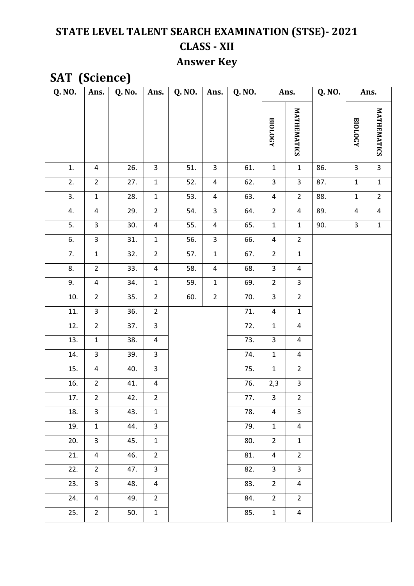#### **STATE LEVEL TALENT SEARCH EXAMINATION (STSE)- 2021 CLASS - XII Answer Key**

## **SAT (Science)**

| Q. NO. | Ans.                    | <b>Q. No.</b> | Ans.                    | Q. NO. | Ans.                    | Q. NO. | Ans.                    |                         | Q. NO.<br>Ans. |                |                         |
|--------|-------------------------|---------------|-------------------------|--------|-------------------------|--------|-------------------------|-------------------------|----------------|----------------|-------------------------|
|        |                         |               |                         |        |                         |        | <b>BIOLOGY</b>          | <b>MATHEMATICS</b>      |                | <b>BIOLOGY</b> | <b>MATHEMATICS</b>      |
| 1.     | $\overline{4}$          | 26.           | $\mathbf{3}$            | 51.    | $\mathsf 3$             | 61.    | $\mathbf 1$             | $\mathbf 1$             | 86.            | 3              | $\overline{3}$          |
| 2.     | $\overline{2}$          | 27.           | $\mathbf{1}$            | 52.    | $\overline{\mathbf{4}}$ | 62.    | 3                       | $\mathsf{3}$            | 87.            | $\mathbf 1$    | $\mathbf 1$             |
| 3.     | $\mathbf{1}$            | 28.           | $\mathbf 1$             | 53.    | $\overline{\mathbf{4}}$ | 63.    | $\overline{\mathbf{4}}$ | $\overline{2}$          | 88.            | $\mathbf 1$    | $\overline{2}$          |
| 4.     | $\overline{4}$          | 29.           | $\overline{2}$          | 54.    | $\mathbf{3}$            | 64.    | $\overline{2}$          | $\overline{4}$          | 89.            | 4              | $\overline{\mathbf{4}}$ |
| 5.     | $\overline{3}$          | 30.           | $\overline{4}$          | 55.    | $\overline{\mathbf{4}}$ | 65.    | $\mathbf{1}$            | $\mathbf 1$             | 90.            | 3              | $\mathbf 1$             |
| 6.     | $\overline{\mathbf{3}}$ | 31.           | $\mathbf{1}$            | 56.    | $\overline{\mathbf{3}}$ | 66.    | $\overline{\mathbf{4}}$ | $\overline{2}$          |                |                |                         |
| 7.     | $\mathbf{1}$            | 32.           | $\overline{2}$          | 57.    | $\mathbf{1}$            | 67.    | $\overline{2}$          | $\mathbf 1$             |                |                |                         |
| 8.     | $\overline{2}$          | 33.           | $\overline{\mathbf{4}}$ | 58.    | $\overline{\mathbf{4}}$ | 68.    | $\overline{3}$          | $\overline{\mathbf{4}}$ |                |                |                         |
| 9.     | $\overline{\mathbf{4}}$ | 34.           | $\mathbf 1$             | 59.    | $\mathbf{1}$            | 69.    | $\overline{2}$          | 3                       |                |                |                         |
| 10.    | $\overline{2}$          | 35.           | $\overline{2}$          | 60.    | $\overline{2}$          | 70.    | $\overline{3}$          | $\overline{2}$          |                |                |                         |
| 11.    | 3                       | 36.           | $\overline{2}$          |        |                         | 71.    | 4                       | $\mathbf 1$             |                |                |                         |
| 12.    | $\overline{2}$          | 37.           | $\overline{\mathbf{3}}$ |        |                         | 72.    | $\mathbf{1}$            | $\overline{\mathbf{4}}$ |                |                |                         |
| 13.    | $\mathbf{1}$            | 38.           | $\overline{\mathbf{4}}$ |        |                         | 73.    | 3                       | $\overline{\mathbf{4}}$ |                |                |                         |
| 14.    | $\overline{3}$          | 39.           | $\overline{\mathbf{3}}$ |        |                         | 74.    | $\mathbf{1}$            | $\overline{4}$          |                |                |                         |
| 15.    | $\overline{\mathbf{4}}$ | 40.           | $\overline{3}$          |        |                         | 75.    | $\overline{1}$          | $\overline{2}$          |                |                |                         |
| 16.    | $\overline{2}$          | 41.           | $\overline{\mathbf{4}}$ |        |                         | 76.    | 2,3                     | $\mathbf{3}$            |                |                |                         |
| 17.    | $\overline{2}$          | 42.           | $\overline{2}$          |        |                         | 77.    | $\overline{3}$          | $\overline{2}$          |                |                |                         |
| 18.    | $\mathbf{3}$            | 43.           | $\mathbf{1}$            |        |                         | 78.    | $\overline{4}$          | $\mathbf{3}$            |                |                |                         |
| 19.    | $\mathbf{1}$            | 44.           | $\overline{3}$          |        |                         | 79.    | $\mathbf{1}$            | $\overline{4}$          |                |                |                         |
| 20.    | $\mathbf{3}$            | 45.           | $\mathbf{1}$            |        |                         | 80.    | $2^{\circ}$             | $\mathbf{1}$            |                |                |                         |
| 21.    | $\overline{4}$          | 46.           | $2^{\circ}$             |        |                         | 81.    | $\overline{4}$          | $2^{\circ}$             |                |                |                         |
| 22.    | $2^{\circ}$             | 47.           | $\mathbf{3}$            |        |                         | 82.    | $\overline{3}$          | $\mathbf{3}$            |                |                |                         |
| 23.    | $\mathbf{3}$            | 48.           | $\overline{4}$          |        |                         | 83.    | 2 <sup>1</sup>          | $\overline{4}$          |                |                |                         |
| 24.    | $\overline{4}$          | 49.           | $\overline{2}$          |        |                         | 84.    | $\overline{2}$          | $\overline{2}$          |                |                |                         |
| 25.    | $\overline{2}$          | 50.           | $\mathbf{1}$            |        |                         | 85.    | $\mathbf{1}$            | $\overline{4}$          |                |                |                         |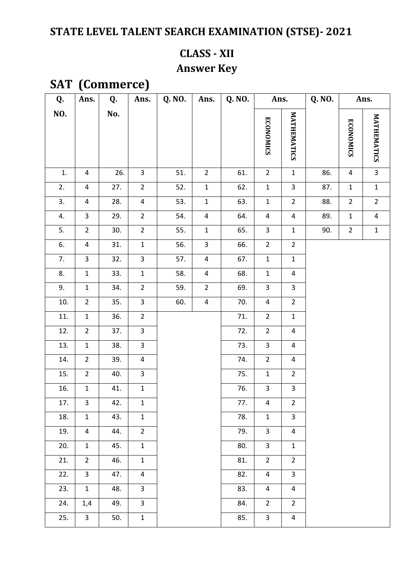#### **STATE LEVEL TALENT SEARCH EXAMINATION (STSE)- 2021**

### **CLASS - XII**

**Answer Key**

**SAT (Commerce)**

| Q.  | Ans.                    | Q.  | Ans.                    | Q. NO. | Ans.                    | Q. NO. | Ans.                    |                         | Q. NO.<br>Ans. |                         |                         |
|-----|-------------------------|-----|-------------------------|--------|-------------------------|--------|-------------------------|-------------------------|----------------|-------------------------|-------------------------|
| NO. |                         | No. |                         |        |                         |        | <b>ECONOMICS</b>        | MATHEMATICS             |                | <b>ECONOMICS</b>        | <b>MATHEMATICS</b>      |
| 1.  | $\overline{\mathbf{4}}$ | 26. | $\overline{\mathbf{3}}$ | 51.    | $\overline{2}$          | 61.    | $\overline{2}$          | $\mathbf 1$             | 86.            | $\overline{\mathbf{4}}$ | $\overline{3}$          |
| 2.  | $\overline{\mathbf{4}}$ | 27. | $\overline{2}$          | 52.    | $\mathbf{1}$            | 62.    | $\mathbf 1$             | $\mathbf{3}$            | 87.            | $\mathbf 1$             | $\mathbf 1$             |
| 3.  | $\overline{4}$          | 28. | $\overline{\mathbf{4}}$ | 53.    | $\mathbf 1$             | 63.    | $\mathbf 1$             | $\overline{2}$          | 88.            | $\overline{2}$          | $\overline{2}$          |
| 4.  | $\overline{3}$          | 29. | $\overline{2}$          | 54.    | $\overline{\mathbf{4}}$ | 64.    | $\pmb{4}$               | $\overline{\mathbf{4}}$ | 89.            | $\mathbf{1}$            | $\overline{\mathbf{4}}$ |
| 5.  | $\overline{2}$          | 30. | $\overline{2}$          | 55.    | $\mathbf{1}$            | 65.    | 3                       | $\mathbf 1$             | 90.            | $\overline{2}$          | $\mathbf 1$             |
| 6.  | $\overline{4}$          | 31. | $\mathbf{1}$            | 56.    | $\mathbf{3}$            | 66.    | $\overline{2}$          | $\overline{2}$          |                |                         |                         |
| 7.  | 3                       | 32. | $\overline{\mathbf{3}}$ | 57.    | $\overline{\mathbf{4}}$ | 67.    | $\mathbf 1$             | $\mathbf{1}$            |                |                         |                         |
| 8.  | $\mathbf{1}$            | 33. | $\mathbf{1}$            | 58.    | $\overline{\mathbf{4}}$ | 68.    | $\mathbf 1$             | $\pmb{4}$               |                |                         |                         |
| 9.  | $\mathbf{1}$            | 34. | $\overline{2}$          | 59.    | $\overline{2}$          | 69.    | $\overline{3}$          | $\overline{3}$          |                |                         |                         |
| 10. | $\overline{2}$          | 35. | $\overline{\mathbf{3}}$ | 60.    | $\overline{4}$          | 70.    | $\pmb{4}$               | $\overline{2}$          |                |                         |                         |
| 11. | $\mathbf{1}$            | 36. | $\overline{2}$          |        |                         | 71.    | $\overline{2}$          | $\mathbf 1$             |                |                         |                         |
| 12. | $\overline{2}$          | 37. | $\overline{\mathbf{3}}$ |        |                         | 72.    | $\overline{2}$          | $\overline{\mathbf{4}}$ |                |                         |                         |
| 13. | $\mathbf{1}$            | 38. | $\overline{3}$          |        |                         | 73.    | 3                       | $\overline{4}$          |                |                         |                         |
| 14. | $\overline{2}$          | 39. | $\overline{\mathbf{4}}$ |        |                         | 74.    | $\overline{2}$          | $\overline{\mathbf{4}}$ |                |                         |                         |
| 15. | $\overline{2}$          | 40. | $\overline{\mathbf{3}}$ |        |                         | 75.    | $\mathbf{1}$            | $\overline{2}$          |                |                         |                         |
| 16. | $\mathbf{1}$            | 41. | $\mathbf{1}$            |        |                         | 76.    | 3                       | $\overline{\mathbf{3}}$ |                |                         |                         |
| 17. | $\overline{3}$          | 42. | $\mathbf{1}$            |        |                         | 77.    | $\overline{a}$          | $\overline{2}$          |                |                         |                         |
| 18. | $\mathbf{1}$            | 43. | $\mathbf{1}$            |        |                         | 78.    | $\mathbf{1}$            | $\overline{3}$          |                |                         |                         |
| 19. | $\overline{4}$          | 44. | $\overline{2}$          |        |                         | 79.    | $\mathbf{3}$            | $\overline{4}$          |                |                         |                         |
| 20. | $\mathbf{1}$            | 45. | $\mathbf{1}$            |        |                         | 80.    | $\overline{3}$          | $\mathbf{1}$            |                |                         |                         |
| 21. | $\overline{2}$          | 46. | $\mathbf{1}$            |        |                         | 81.    | $\overline{2}$          | $\overline{2}$          |                |                         |                         |
| 22. | $\overline{3}$          | 47. | $\overline{4}$          |        |                         | 82.    | $\overline{4}$          | $\mathbf{3}$            |                |                         |                         |
| 23. | $\mathbf{1}$            | 48. | $\overline{3}$          |        |                         | 83.    | $\overline{4}$          | $\overline{4}$          |                |                         |                         |
| 24. | 1,4                     | 49. | $\overline{\mathbf{3}}$ |        |                         | 84.    | $\overline{2}$          | $\overline{2}$          |                |                         |                         |
| 25. | $\mathbf{3}$            | 50. | $\mathbf{1}$            |        |                         | 85.    | $\overline{\mathbf{3}}$ | 4                       |                |                         |                         |